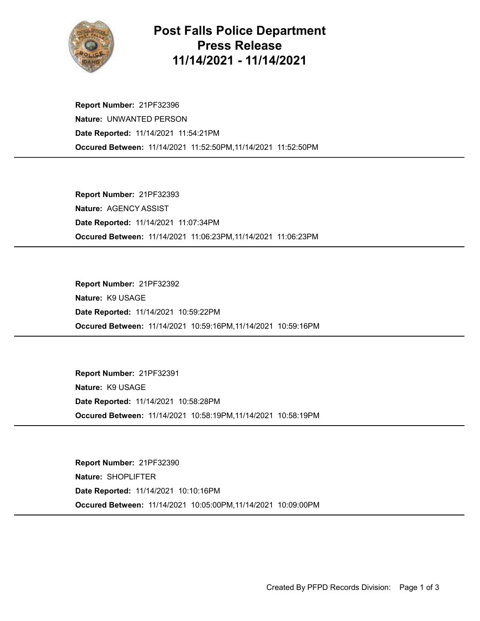

## Post Falls Police Department Press Release 11/14/2021 - 11/14/2021

Occured Between: 11/14/2021 11:52:50PM,11/14/2021 11:52:50PM Report Number: 21PF32396 Nature: UNWANTED PERSON Date Reported: 11/14/2021 11:54:21PM

Occured Between: 11/14/2021 11:06:23PM,11/14/2021 11:06:23PM Report Number: 21PF32393 Nature: AGENCY ASSIST Date Reported: 11/14/2021 11:07:34PM

Occured Between: 11/14/2021 10:59:16PM,11/14/2021 10:59:16PM Report Number: 21PF32392 Nature: K9 USAGE Date Reported: 11/14/2021 10:59:22PM

Occured Between: 11/14/2021 10:58:19PM,11/14/2021 10:58:19PM Report Number: 21PF32391 Nature: K9 USAGE Date Reported: 11/14/2021 10:58:28PM

Occured Between: 11/14/2021 10:05:00PM,11/14/2021 10:09:00PM Report Number: 21PF32390 Nature: SHOPLIFTER Date Reported: 11/14/2021 10:10:16PM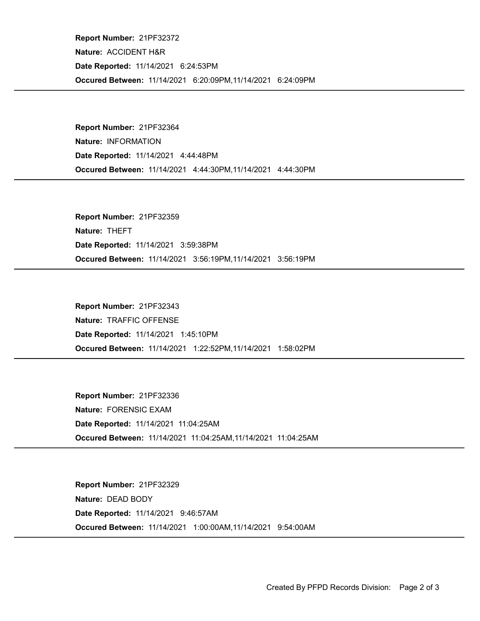Occured Between: 11/14/2021 6:20:09PM,11/14/2021 6:24:09PM Report Number: 21PF32372 Nature: ACCIDENT H&R Date Reported: 11/14/2021 6:24:53PM

Occured Between: 11/14/2021 4:44:30PM,11/14/2021 4:44:30PM Report Number: 21PF32364 Nature: INFORMATION Date Reported: 11/14/2021 4:44:48PM

Occured Between: 11/14/2021 3:56:19PM,11/14/2021 3:56:19PM Report Number: 21PF32359 Nature: THEFT Date Reported: 11/14/2021 3:59:38PM

Occured Between: 11/14/2021 1:22:52PM,11/14/2021 1:58:02PM Report Number: 21PF32343 Nature: TRAFFIC OFFENSE Date Reported: 11/14/2021 1:45:10PM

Occured Between: 11/14/2021 11:04:25AM,11/14/2021 11:04:25AM Report Number: 21PF32336 Nature: FORENSIC EXAM Date Reported: 11/14/2021 11:04:25AM

Occured Between: 11/14/2021 1:00:00AM,11/14/2021 9:54:00AM Report Number: 21PF32329 Nature: DEAD BODY Date Reported: 11/14/2021 9:46:57AM